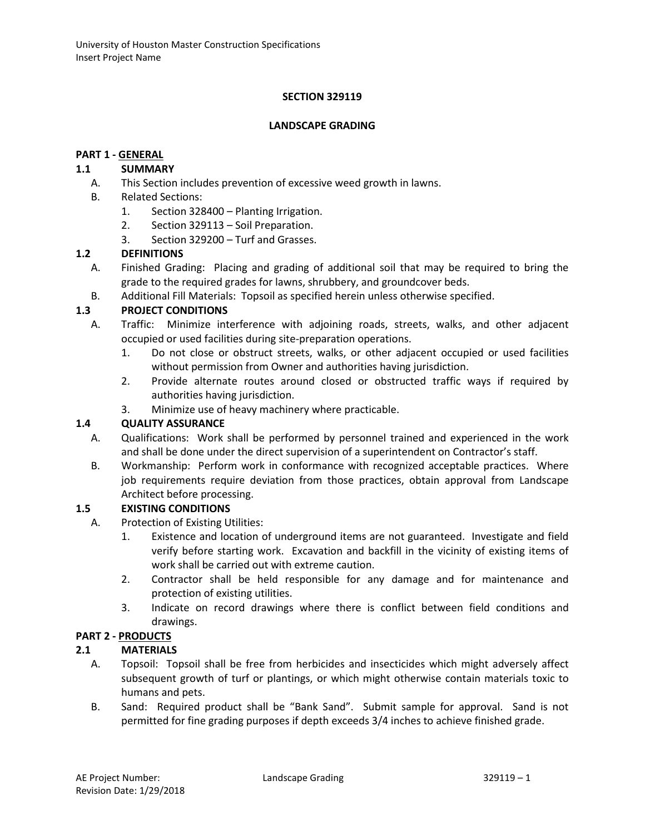### **SECTION 329119**

#### **LANDSCAPE GRADING**

#### **PART 1 - GENERAL**

### **1.1 SUMMARY**

- A. This Section includes prevention of excessive weed growth in lawns.
- B. Related Sections:
	- 1. Section 328400 Planting Irrigation.
	- 2. Section 329113 Soil Preparation.
	- 3. Section 329200 Turf and Grasses.

### **1.2 DEFINITIONS**

- A. Finished Grading: Placing and grading of additional soil that may be required to bring the grade to the required grades for lawns, shrubbery, and groundcover beds.
- B. Additional Fill Materials: Topsoil as specified herein unless otherwise specified.

# **1.3 PROJECT CONDITIONS**

- A. Traffic: Minimize interference with adjoining roads, streets, walks, and other adjacent occupied or used facilities during site-preparation operations.
	- 1. Do not close or obstruct streets, walks, or other adjacent occupied or used facilities without permission from Owner and authorities having jurisdiction.
	- 2. Provide alternate routes around closed or obstructed traffic ways if required by authorities having jurisdiction.
	- 3. Minimize use of heavy machinery where practicable.

### **1.4 QUALITY ASSURANCE**

- A. Qualifications: Work shall be performed by personnel trained and experienced in the work and shall be done under the direct supervision of a superintendent on Contractor's staff.
- B. Workmanship: Perform work in conformance with recognized acceptable practices. Where job requirements require deviation from those practices, obtain approval from Landscape Architect before processing.

### **1.5 EXISTING CONDITIONS**

- A. Protection of Existing Utilities:
	- 1. Existence and location of underground items are not guaranteed. Investigate and field verify before starting work. Excavation and backfill in the vicinity of existing items of work shall be carried out with extreme caution.
	- 2. Contractor shall be held responsible for any damage and for maintenance and protection of existing utilities.
	- 3. Indicate on record drawings where there is conflict between field conditions and drawings.

### **PART 2 - PRODUCTS**

### **2.1 MATERIALS**

- A. Topsoil: Topsoil shall be free from herbicides and insecticides which might adversely affect subsequent growth of turf or plantings, or which might otherwise contain materials toxic to humans and pets.
- B. Sand: Required product shall be "Bank Sand". Submit sample for approval. Sand is not permitted for fine grading purposes if depth exceeds 3/4 inches to achieve finished grade.